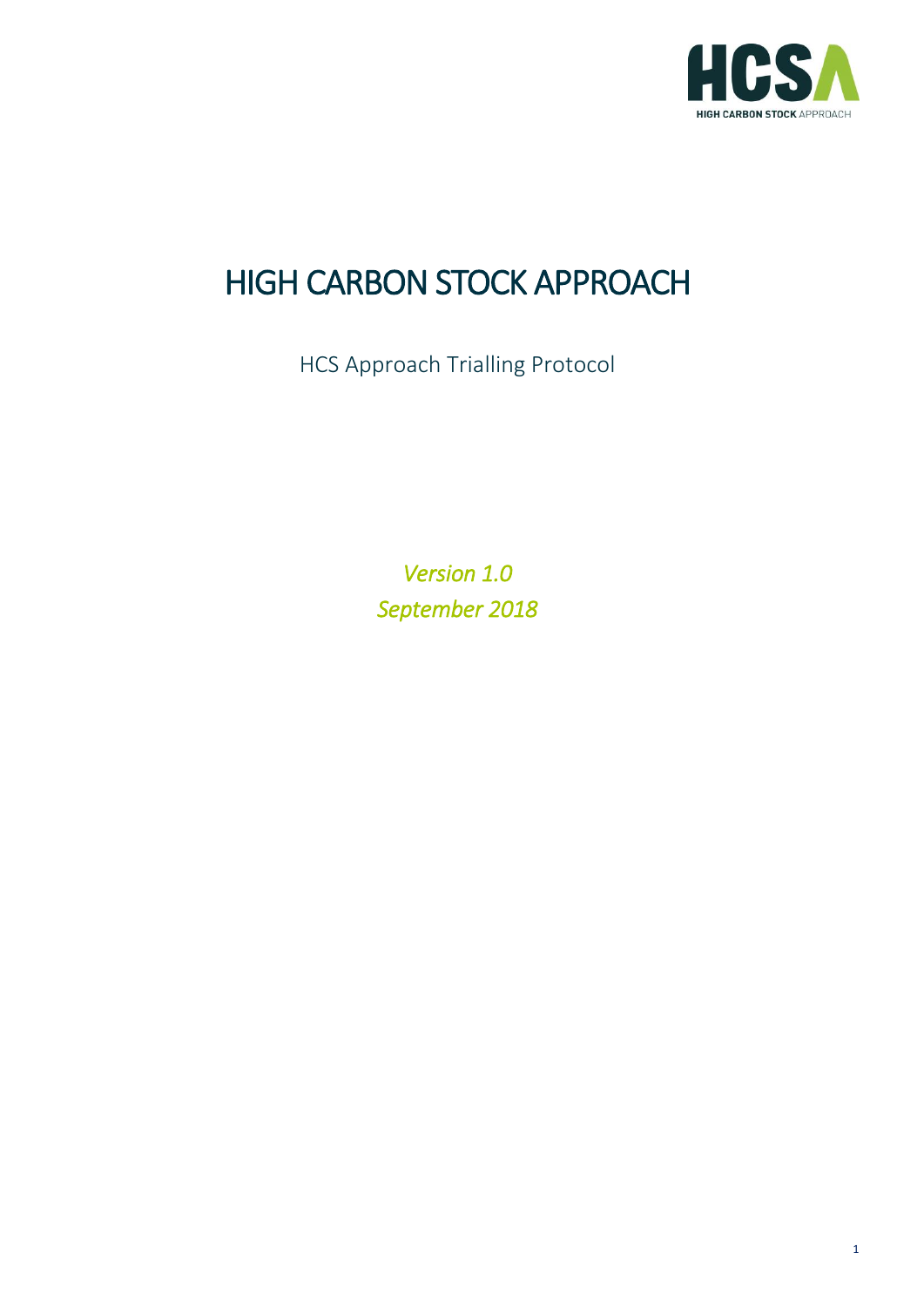

# HIGH CARBON STOCK APPROACH

HCS Approach Trialling Protocol

*Version 1.0 September 2018*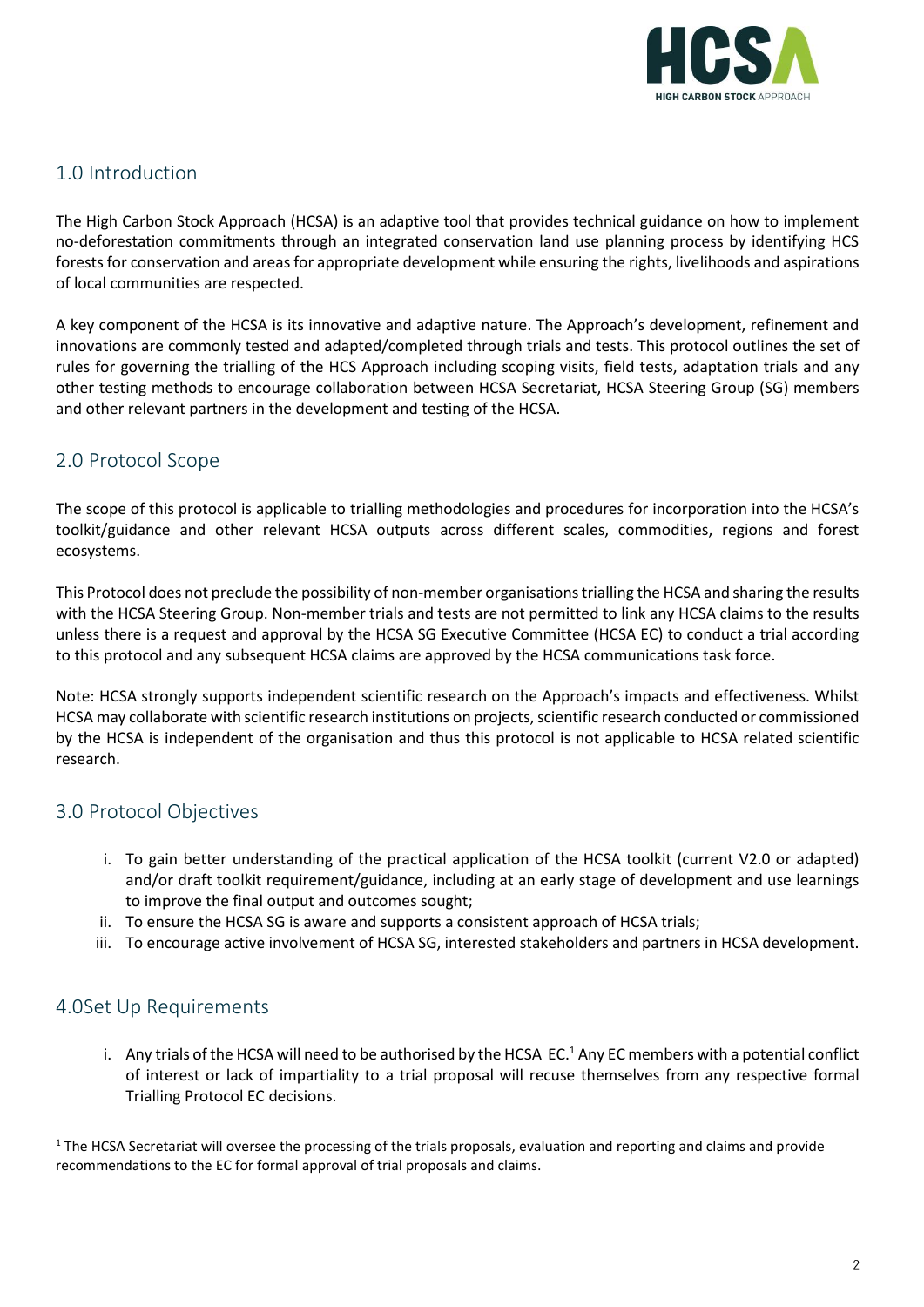

## 1.0 Introduction

The High Carbon Stock Approach (HCSA) is an adaptive tool that provides technical guidance on how to implement no-deforestation commitments through an integrated conservation land use planning process by identifying HCS forests for conservation and areas for appropriate development while ensuring the rights, livelihoods and aspirations of local communities are respected.

A key component of the HCSA is its innovative and adaptive nature. The Approach's development, refinement and innovations are commonly tested and adapted/completed through trials and tests. This protocol outlines the set of rules for governing the trialling of the HCS Approach including scoping visits, field tests, adaptation trials and any other testing methods to encourage collaboration between HCSA Secretariat, HCSA Steering Group (SG) members and other relevant partners in the development and testing of the HCSA.

## 2.0 Protocol Scope

The scope of this protocol is applicable to trialling methodologies and procedures for incorporation into the HCSA's toolkit/guidance and other relevant HCSA outputs across different scales, commodities, regions and forest ecosystems.

This Protocol does not preclude the possibility of non-member organisations trialling the HCSA and sharing the results with the HCSA Steering Group. Non-member trials and tests are not permitted to link any HCSA claims to the results unless there is a request and approval by the HCSA SG Executive Committee (HCSA EC) to conduct a trial according to this protocol and any subsequent HCSA claims are approved by the HCSA communications task force.

Note: HCSA strongly supports independent scientific research on the Approach's impacts and effectiveness. Whilst HCSA may collaborate with scientific research institutions on projects, scientific research conducted or commissioned by the HCSA is independent of the organisation and thus this protocol is not applicable to HCSA related scientific research.

# 3.0 Protocol Objectives

- i. To gain better understanding of the practical application of the HCSA toolkit (current V2.0 or adapted) and/or draft toolkit requirement/guidance, including at an early stage of development and use learnings to improve the final output and outcomes sought;
- ii. To ensure the HCSA SG is aware and supports a consistent approach of HCSA trials;
- iii. To encourage active involvement of HCSA SG, interested stakeholders and partners in HCSA development.

#### 4.0Set Up Requirements

 $\overline{a}$ 

i. Any trials of the HCSA will need to be authorised by the HCSA EC.<sup>1</sup> Any EC members with a potential conflict of interest or lack of impartiality to a trial proposal will recuse themselves from any respective formal Trialling Protocol EC decisions.

 $1$  The HCSA Secretariat will oversee the processing of the trials proposals, evaluation and reporting and claims and provide recommendations to the EC for formal approval of trial proposals and claims.